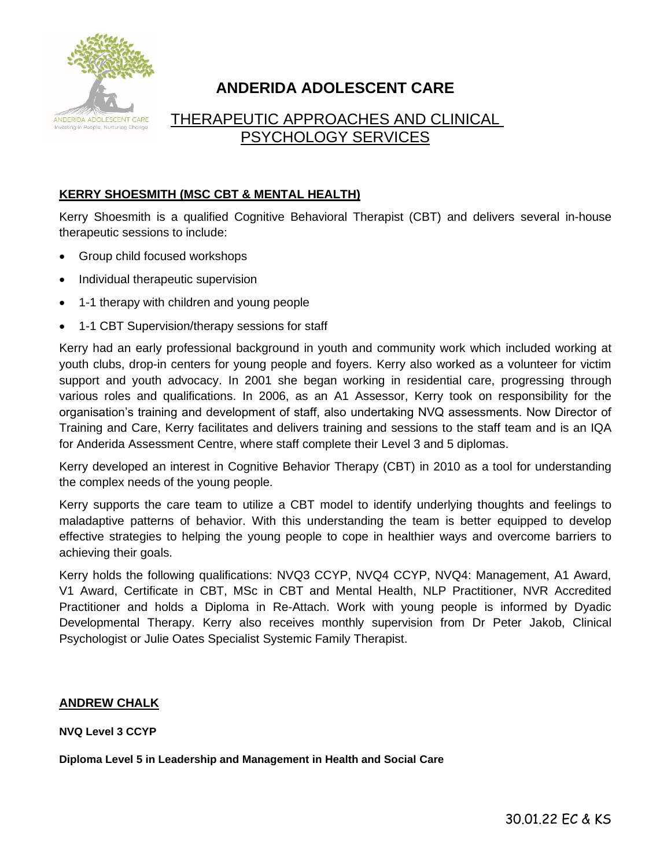

# **ANDERIDA ADOLESCENT CARE**

# THERAPEUTIC APPROACHES AND CLINICAL PSYCHOLOGY SERVICES

# **KERRY SHOESMITH (MSC CBT & MENTAL HEALTH)**

Kerry Shoesmith is a qualified Cognitive Behavioral Therapist (CBT) and delivers several in-house therapeutic sessions to include:

- Group child focused workshops
- Individual therapeutic supervision
- 1-1 therapy with children and young people
- 1-1 CBT Supervision/therapy sessions for staff

Kerry had an early professional background in youth and community work which included working at youth clubs, drop-in centers for young people and foyers. Kerry also worked as a volunteer for victim support and youth advocacy. In 2001 she began working in residential care, progressing through various roles and qualifications. In 2006, as an A1 Assessor, Kerry took on responsibility for the organisation's training and development of staff, also undertaking NVQ assessments. Now Director of Training and Care, Kerry facilitates and delivers training and sessions to the staff team and is an IQA for Anderida Assessment Centre, where staff complete their Level 3 and 5 diplomas.

Kerry developed an interest in Cognitive Behavior Therapy (CBT) in 2010 as a tool for understanding the complex needs of the young people.

Kerry supports the care team to utilize a CBT model to identify underlying thoughts and feelings to maladaptive patterns of behavior. With this understanding the team is better equipped to develop effective strategies to helping the young people to cope in healthier ways and overcome barriers to achieving their goals.

Kerry holds the following qualifications: NVQ3 CCYP, NVQ4 CCYP, NVQ4: Management, A1 Award, V1 Award, Certificate in CBT, MSc in CBT and Mental Health, NLP Practitioner, NVR Accredited Practitioner and holds a Diploma in Re-Attach. Work with young people is informed by Dyadic Developmental Therapy. Kerry also receives monthly supervision from Dr Peter Jakob, Clinical Psychologist or Julie Oates Specialist Systemic Family Therapist.

# **ANDREW CHALK**

**NVQ Level 3 CCYP**

**Diploma Level 5 in Leadership and Management in Health and Social Care**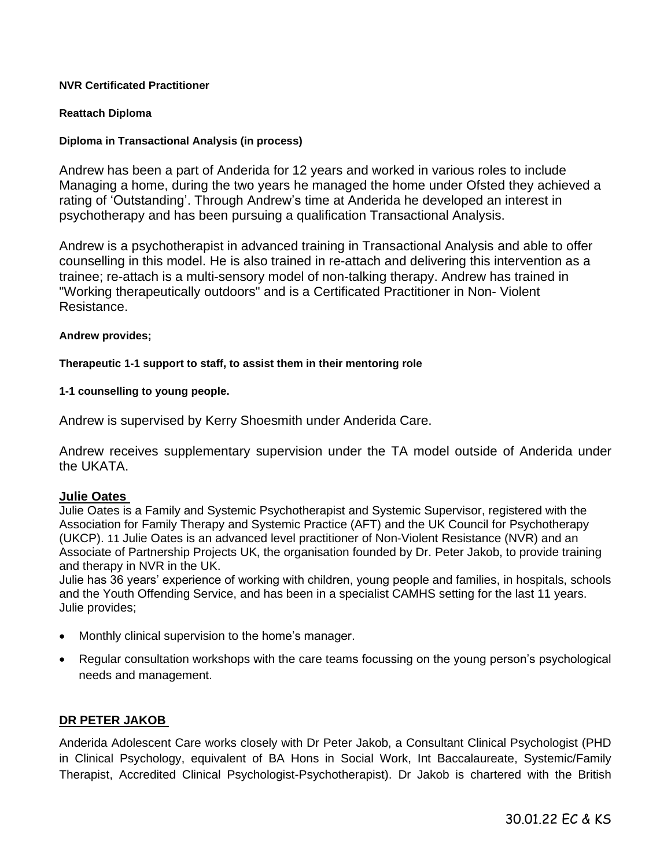#### **NVR Certificated Practitioner**

# **Reattach Diploma**

# **Diploma in Transactional Analysis (in process)**

Andrew has been a part of Anderida for 12 years and worked in various roles to include Managing a home, during the two years he managed the home under Ofsted they achieved a rating of 'Outstanding'. Through Andrew's time at Anderida he developed an interest in psychotherapy and has been pursuing a qualification Transactional Analysis.

Andrew is a psychotherapist in advanced training in Transactional Analysis and able to offer counselling in this model. He is also trained in re-attach and delivering this intervention as a trainee; re-attach is a multi-sensory model of non-talking therapy. Andrew has trained in "Working therapeutically outdoors" and is a Certificated Practitioner in Non- Violent Resistance.

#### **Andrew provides;**

#### **Therapeutic 1-1 support to staff, to assist them in their mentoring role**

**1-1 counselling to young people.** 

Andrew is supervised by Kerry Shoesmith under Anderida Care.

Andrew receives supplementary supervision under the TA model outside of Anderida under the UKATA.

# **Julie Oates**

Julie Oates is a Family and Systemic Psychotherapist and Systemic Supervisor, registered with the Association for Family Therapy and Systemic Practice (AFT) and the UK Council for Psychotherapy (UKCP). 11 Julie Oates is an advanced level practitioner of Non-Violent Resistance (NVR) and an Associate of Partnership Projects UK, the organisation founded by Dr. Peter Jakob, to provide training and therapy in NVR in the UK.

Julie has 36 years' experience of working with children, young people and families, in hospitals, schools and the Youth Offending Service, and has been in a specialist CAMHS setting for the last 11 years. Julie provides;

- Monthly clinical supervision to the home's manager.
- Regular consultation workshops with the care teams focussing on the young person's psychological needs and management.

#### **DR PETER JAKOB**

Anderida Adolescent Care works closely with Dr Peter Jakob, a Consultant Clinical Psychologist (PHD in Clinical Psychology, equivalent of BA Hons in Social Work, Int Baccalaureate, Systemic/Family Therapist, Accredited Clinical Psychologist-Psychotherapist). Dr Jakob is chartered with the British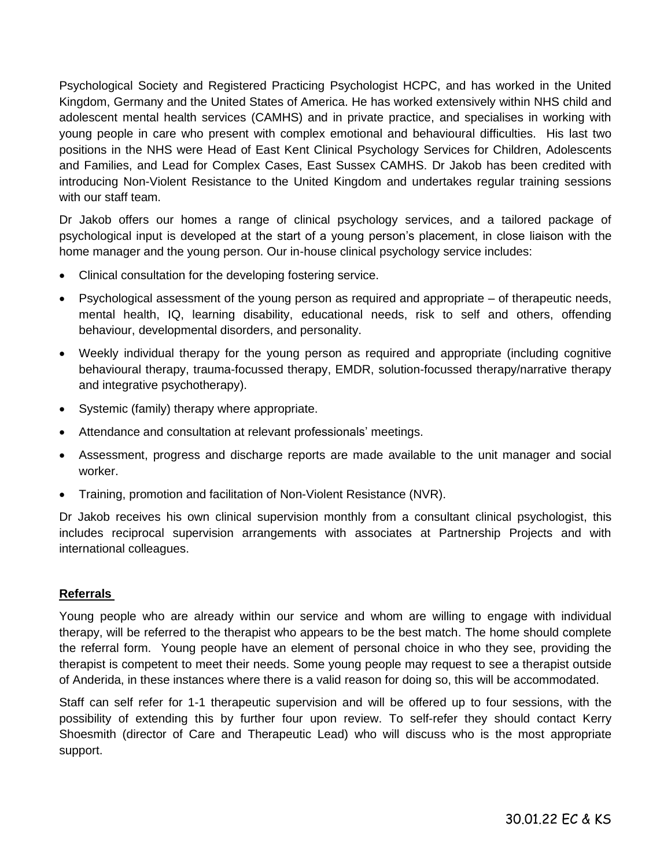Psychological Society and Registered Practicing Psychologist HCPC, and has worked in the United Kingdom, Germany and the United States of America. He has worked extensively within NHS child and adolescent mental health services (CAMHS) and in private practice, and specialises in working with young people in care who present with complex emotional and behavioural difficulties. His last two positions in the NHS were Head of East Kent Clinical Psychology Services for Children, Adolescents and Families, and Lead for Complex Cases, East Sussex CAMHS. Dr Jakob has been credited with introducing Non-Violent Resistance to the United Kingdom and undertakes regular training sessions with our staff team.

Dr Jakob offers our homes a range of clinical psychology services, and a tailored package of psychological input is developed at the start of a young person's placement, in close liaison with the home manager and the young person. Our in-house clinical psychology service includes:

- Clinical consultation for the developing fostering service.
- Psychological assessment of the young person as required and appropriate of therapeutic needs, mental health, IQ, learning disability, educational needs, risk to self and others, offending behaviour, developmental disorders, and personality.
- Weekly individual therapy for the young person as required and appropriate (including cognitive behavioural therapy, trauma-focussed therapy, EMDR, solution-focussed therapy/narrative therapy and integrative psychotherapy).
- Systemic (family) therapy where appropriate.
- Attendance and consultation at relevant professionals' meetings.
- Assessment, progress and discharge reports are made available to the unit manager and social worker.
- Training, promotion and facilitation of Non-Violent Resistance (NVR).

Dr Jakob receives his own clinical supervision monthly from a consultant clinical psychologist, this includes reciprocal supervision arrangements with associates at Partnership Projects and with international colleagues.

# **Referrals**

Young people who are already within our service and whom are willing to engage with individual therapy, will be referred to the therapist who appears to be the best match. The home should complete the referral form. Young people have an element of personal choice in who they see, providing the therapist is competent to meet their needs. Some young people may request to see a therapist outside of Anderida, in these instances where there is a valid reason for doing so, this will be accommodated.

Staff can self refer for 1-1 therapeutic supervision and will be offered up to four sessions, with the possibility of extending this by further four upon review. To self-refer they should contact Kerry Shoesmith (director of Care and Therapeutic Lead) who will discuss who is the most appropriate support.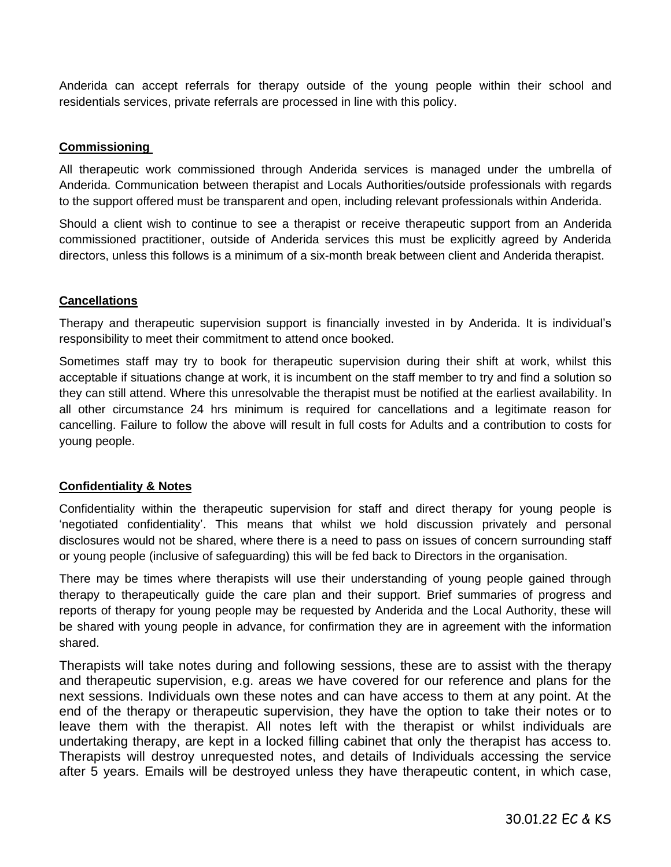Anderida can accept referrals for therapy outside of the young people within their school and residentials services, private referrals are processed in line with this policy.

# **Commissioning**

All therapeutic work commissioned through Anderida services is managed under the umbrella of Anderida. Communication between therapist and Locals Authorities/outside professionals with regards to the support offered must be transparent and open, including relevant professionals within Anderida.

Should a client wish to continue to see a therapist or receive therapeutic support from an Anderida commissioned practitioner, outside of Anderida services this must be explicitly agreed by Anderida directors, unless this follows is a minimum of a six-month break between client and Anderida therapist.

# **Cancellations**

Therapy and therapeutic supervision support is financially invested in by Anderida. It is individual's responsibility to meet their commitment to attend once booked.

Sometimes staff may try to book for therapeutic supervision during their shift at work, whilst this acceptable if situations change at work, it is incumbent on the staff member to try and find a solution so they can still attend. Where this unresolvable the therapist must be notified at the earliest availability. In all other circumstance 24 hrs minimum is required for cancellations and a legitimate reason for cancelling. Failure to follow the above will result in full costs for Adults and a contribution to costs for young people.

#### **Confidentiality & Notes**

Confidentiality within the therapeutic supervision for staff and direct therapy for young people is 'negotiated confidentiality'. This means that whilst we hold discussion privately and personal disclosures would not be shared, where there is a need to pass on issues of concern surrounding staff or young people (inclusive of safeguarding) this will be fed back to Directors in the organisation.

There may be times where therapists will use their understanding of young people gained through therapy to therapeutically guide the care plan and their support. Brief summaries of progress and reports of therapy for young people may be requested by Anderida and the Local Authority, these will be shared with young people in advance, for confirmation they are in agreement with the information shared.

Therapists will take notes during and following sessions, these are to assist with the therapy and therapeutic supervision, e.g. areas we have covered for our reference and plans for the next sessions. Individuals own these notes and can have access to them at any point. At the end of the therapy or therapeutic supervision, they have the option to take their notes or to leave them with the therapist. All notes left with the therapist or whilst individuals are undertaking therapy, are kept in a locked filling cabinet that only the therapist has access to. Therapists will destroy unrequested notes, and details of Individuals accessing the service after 5 years. Emails will be destroyed unless they have therapeutic content, in which case,